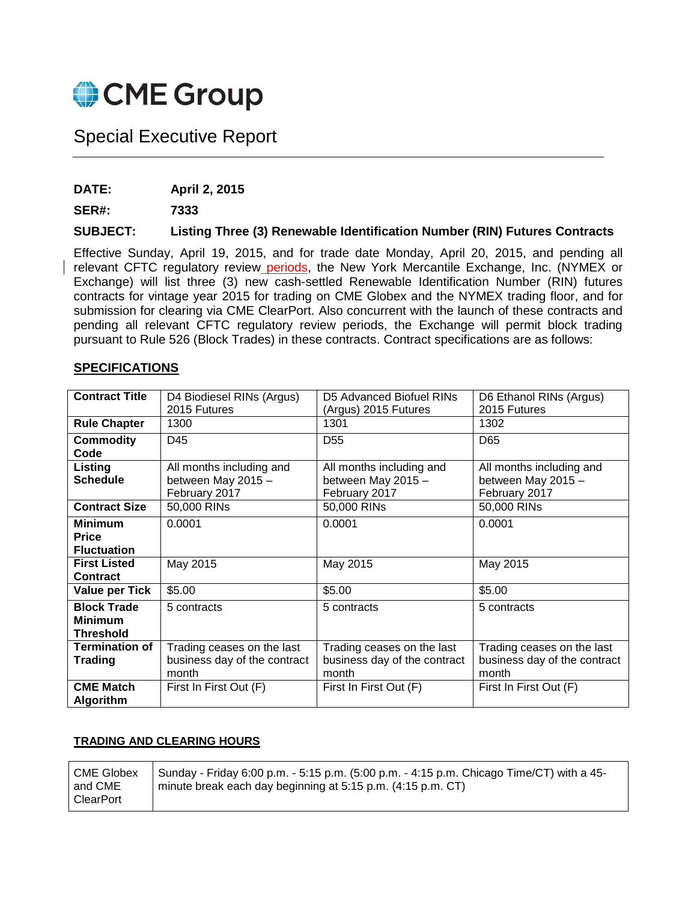

# Special Executive Report

**DATE: April 2, 2015**

**SER#: 7333**

### **SUBJECT: Listing Three (3) Renewable Identification Number (RIN) Futures Contracts**

Effective Sunday, April 19, 2015, and for trade date Monday, April 20, 2015, and pending all relevant CFTC regulatory review periods, the New York Mercantile Exchange, Inc. (NYMEX or Exchange) will list three (3) new cash-settled Renewable Identification Number (RIN) futures contracts for vintage year 2015 for trading on CME Globex and the NYMEX trading floor, and for submission for clearing via CME ClearPort. Also concurrent with the launch of these contracts and pending all relevant CFTC regulatory review periods, the Exchange will permit block trading pursuant to Rule 526 (Block Trades) in these contracts. Contract specifications are as follows:

#### **SPECIFICATIONS**

| <b>Contract Title</b> | D4 Biodiesel RINs (Argus)    | D5 Advanced Biofuel RINs     | D6 Ethanol RINs (Argus)      |
|-----------------------|------------------------------|------------------------------|------------------------------|
|                       | 2015 Futures                 | (Argus) 2015 Futures         | 2015 Futures                 |
| <b>Rule Chapter</b>   | 1300                         | 1301                         | 1302                         |
| <b>Commodity</b>      | D45                          | D <sub>55</sub>              | D65                          |
| Code                  |                              |                              |                              |
| Listing               | All months including and     | All months including and     | All months including and     |
| <b>Schedule</b>       | between May 2015 -           | between May 2015 -           | between May 2015 -           |
|                       | February 2017                | February 2017                | February 2017                |
| <b>Contract Size</b>  | 50,000 RINs                  | 50,000 RINs                  | 50,000 RINs                  |
| <b>Minimum</b>        | 0.0001                       | 0.0001                       | 0.0001                       |
| <b>Price</b>          |                              |                              |                              |
| <b>Fluctuation</b>    |                              |                              |                              |
| <b>First Listed</b>   | May 2015                     | May 2015                     | May 2015                     |
| <b>Contract</b>       |                              |                              |                              |
| <b>Value per Tick</b> | \$5.00                       | \$5.00                       | \$5.00                       |
| <b>Block Trade</b>    | 5 contracts                  | 5 contracts                  | 5 contracts                  |
| <b>Minimum</b>        |                              |                              |                              |
| <b>Threshold</b>      |                              |                              |                              |
| <b>Termination of</b> | Trading ceases on the last   | Trading ceases on the last   | Trading ceases on the last   |
| <b>Trading</b>        | business day of the contract | business day of the contract | business day of the contract |
|                       | month                        | month                        | month                        |
| <b>CME Match</b>      | First In First Out (F)       | First In First Out (F)       | First In First Out (F)       |
| <b>Algorithm</b>      |                              |                              |                              |

#### **TRADING AND CLEARING HOURS**

CME Globex and CME **ClearPort** Sunday - Friday 6:00 p.m. - 5:15 p.m. (5:00 p.m. - 4:15 p.m. Chicago Time/CT) with a 45 minute break each day beginning at 5:15 p.m. (4:15 p.m. CT)